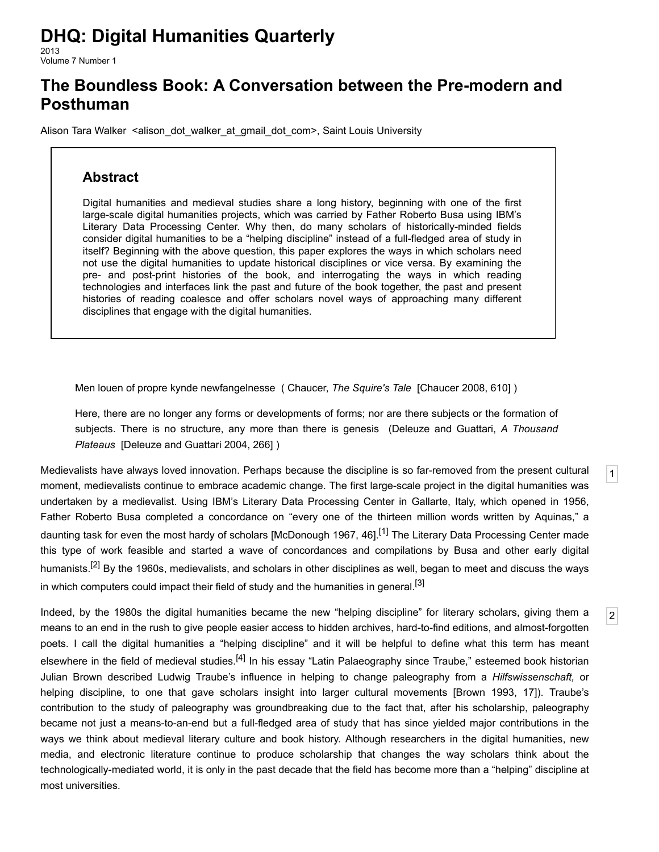# **DHQ: Digital Humanities Quarterly**

2013 Volume 7 Number 1

## **The Boundless Book: A Conversation between the Pre-modern and Posthuman**

[Alison Tara Walker](http://www.digitalhumanities.org/dhq/vol/7/1/bios.html#walker_alison_tara) <alison dot walker at gmail dot com>, Saint Louis University

### **Abstract**

Digital humanities and medieval studies share a long history, beginning with one of the first large-scale digital humanities projects, which was carried by Father Roberto Busa using IBM's Literary Data Processing Center. Why then, do many scholars of historically-minded fields consider digital humanities to be a "helping discipline" instead of a full-fledged area of study in itself? Beginning with the above question, this paper explores the ways in which scholars need not use the digital humanities to update historical disciplines or vice versa. By examining the pre- and post-print histories of the book, and interrogating the ways in which reading technologies and interfaces link the past and future of the book together, the past and present histories of reading coalesce and offer scholars novel ways of approaching many different disciplines that engage with the digital humanities.

Men louen of propre kynde newfangelnesse ( Chaucer, *The Squire's Tale* [\[Chaucer 2008,](#page-9-0) 610] )

Here, there are no longer any forms or developments of forms; nor are there subjects or the formation of subjects. There is no structure, any more than there is genesis (Deleuze and Guattari, *A Thousand Plateaus* [\[Deleuze and Guattari 2004,](#page-10-0) 266] )

[1](#page-0-0)

[2](#page-0-1)

<span id="page-0-0"></span>Medievalists have always loved innovation. Perhaps because the discipline is so far-removed from the present cultural moment, medievalists continue to embrace academic change. The first large-scale project in the digital humanities was undertaken by a medievalist. Using IBM's Literary Data Processing Center in Gallarte, Italy, which opened in 1956, Father Roberto Busa completed a concordance on "every one of the thirteen million words written by Aquinas," a daunting task for even the most hardy of scholars [[McDonough 1967,](#page-10-1) 46].<sup>[\[1\]](#page-8-0)</sup> The Literary Data Processing Center made this type of work feasible and started a wave of concordances and compilations by Busa and other early digital humanists.<sup>[2]</sup> By the 1960s, medievalists, and scholars in other disciplines as well, began to meet and discuss the ways in which computers could impact their field of study and the humanities in general.<sup>[\[3\]](#page-8-2)</sup>

<span id="page-0-1"></span>Indeed, by the 1980s the digital humanities became the new "helping discipline" for literary scholars, giving them a means to an end in the rush to give people easier access to hidden archives, hard-to-find editions, and almost-forgotten poets. I call the digital humanities a "helping discipline" and it will be helpful to define what this term has meant elsewhere in the field of medieval studies.<sup>[4]</sup> In his essay "Latin Palaeography since Traube," esteemed book historian Julian Brown described Ludwig Traube's influence in helping to change paleography from a *Hilfswissenschaft,* or helping discipline, to one that gave scholars insight into larger cultural movements [[Brown 1993,](#page-9-1) 17]). Traube's contribution to the study of paleography was groundbreaking due to the fact that, after his scholarship, paleography became not just a means-to-an-end but a full-fledged area of study that has since yielded major contributions in the ways we think about medieval literary culture and book history. Although researchers in the digital humanities, new media, and electronic literature continue to produce scholarship that changes the way scholars think about the technologically-mediated world, it is only in the past decade that the field has become more than a "helping" discipline at most universities.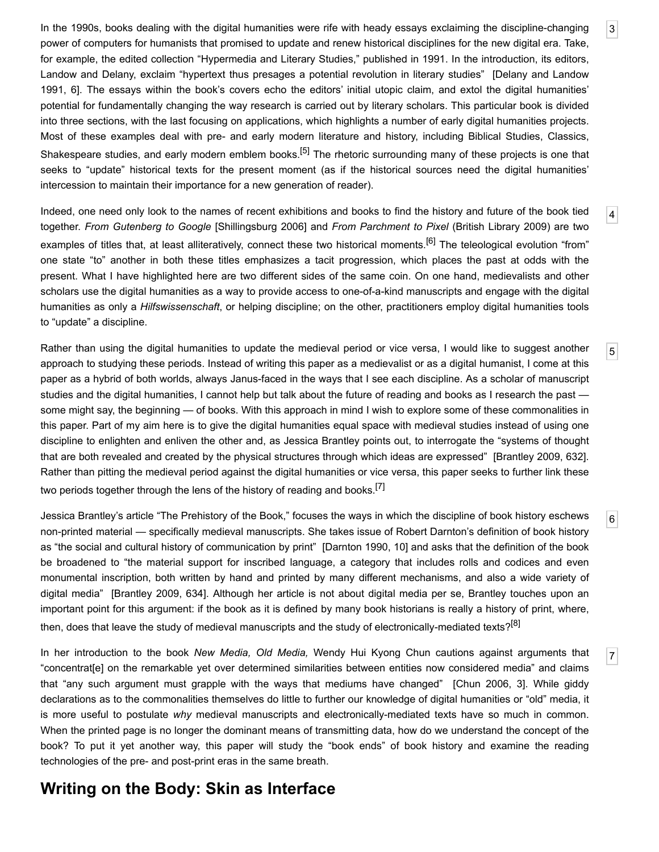<span id="page-1-0"></span>In the 1990s, books dealing with the digital humanities were rife with heady essays exclaiming the discipline-changing power of computers for humanists that promised to update and renew historical disciplines for the new digital era. Take, for example, the edited collection "Hypermedia and Literary Studies," published in 1991. In the introduction, its editors, [Landow and Delany, exclaim "hypertext thus presages a potential revolution in literary studies" \[Delany and Landow](#page-10-2) 1991, 6]. The essays within the book's covers echo the editors' initial utopic claim, and extol the digital humanities' potential for fundamentally changing the way research is carried out by literary scholars. This particular book is divided into three sections, with the last focusing on applications, which highlights a number of early digital humanities projects. Most of these examples deal with pre- and early modern literature and history, including Biblical Studies, Classics, Shakespeare studies, and early modern emblem books.<sup>[5]</sup> The rhetoric surrounding many of these projects is one that seeks to "update" historical texts for the present moment (as if the historical sources need the digital humanities' intercession to maintain their importance for a new generation of reader).

<span id="page-1-1"></span>Indeed, one need only look to the names of recent exhibitions and books to find the history and future of the book tied together. *From Gutenberg to Google* [[Shillingsburg 2006](#page-11-0)] and *From Parchment to Pixel* (British Library 2009) are two examples of titles that, at least alliteratively, connect these two historical moments.<sup>[6]</sup> The teleological evolution "from" one state "to" another in both these titles emphasizes a tacit progression, which places the past at odds with the present. What I have highlighted here are two different sides of the same coin. On one hand, medievalists and other scholars use the digital humanities as a way to provide access to one-of-a-kind manuscripts and engage with the digital humanities as only a *Hilfswissenschaft*, or helping discipline; on the other, practitioners employ digital humanities tools to "update" a discipline.

<span id="page-1-2"></span>Rather than using the digital humanities to update the medieval period or vice versa, I would like to suggest another approach to studying these periods. Instead of writing this paper as a medievalist or as a digital humanist, I come at this paper as a hybrid of both worlds, always Janus-faced in the ways that I see each discipline. As a scholar of manuscript studies and the digital humanities, I cannot help but talk about the future of reading and books as I research the past some might say, the beginning — of books. With this approach in mind I wish to explore some of these commonalities in this paper. Part of my aim here is to give the digital humanities equal space with medieval studies instead of using one discipline to enlighten and enliven the other and, as Jessica Brantley points out, to interrogate the "systems of thought that are both revealed and created by the physical structures through which ideas are expressed" [\[Brantley 2009,](#page-9-4) 632]. Rather than pitting the medieval period against the digital humanities or vice versa, this paper seeks to further link these two periods together through the lens of the history of reading and books.<sup>[\[7\]](#page-9-5)</sup>

<span id="page-1-3"></span>Jessica Brantley's article "The Prehistory of the Book," focuses the ways in which the discipline of book history eschews non-printed material — specifically medieval manuscripts. She takes issue of Robert Darnton's definition of book history as "the social and cultural history of communication by print" [\[Darnton 1990,](#page-10-3) 10] and asks that the definition of the book be broadened to "the material support for inscribed language, a category that includes rolls and codices and even monumental inscription, both written by hand and printed by many different mechanisms, and also a wide variety of digital media" [\[Brantley 2009](#page-9-4), 634]. Although her article is not about digital media per se, Brantley touches upon an important point for this argument: if the book as it is defined by many book historians is really a history of print, where, then, does that leave the study of medieval manuscripts and the study of electronically-mediated texts?<sup>[\[8\]](#page-9-6)</sup>

<span id="page-1-4"></span>In her introduction to the book *New Media, Old Media,* Wendy Hui Kyong Chun cautions against arguments that "concentrat[e] on the remarkable yet over determined similarities between entities now considered media" and claims that "any such argument must grapple with the ways that mediums have changed" [[Chun 2006,](#page-9-7) 3]. While giddy declarations as to the commonalities themselves do little to further our knowledge of digital humanities or "old" media, it is more useful to postulate *why* medieval manuscripts and electronically-mediated texts have so much in common. When the printed page is no longer the dominant means of transmitting data, how do we understand the concept of the book? To put it yet another way, this paper will study the "book ends" of book history and examine the reading technologies of the pre- and post-print eras in the same breath.

### **Writing on the Body: Skin as Interface**

[4](#page-1-1)

[5](#page-1-2)

[6](#page-1-3)

[7](#page-1-4)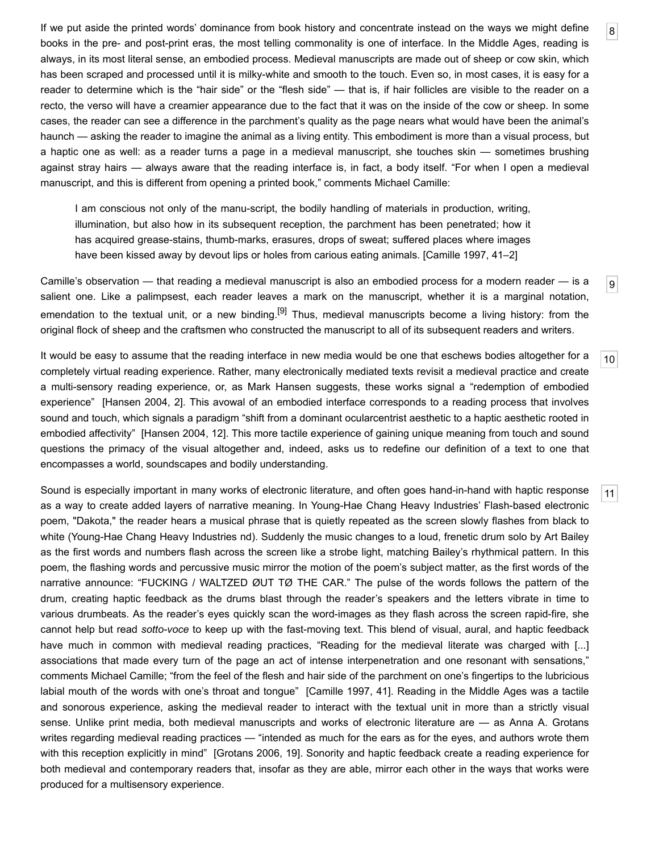<span id="page-2-0"></span>If we put aside the printed words' dominance from book history and concentrate instead on the ways we might define books in the pre- and post-print eras, the most telling commonality is one of interface. In the Middle Ages, reading is always, in its most literal sense, an embodied process. Medieval manuscripts are made out of sheep or cow skin, which has been scraped and processed until it is milky-white and smooth to the touch. Even so, in most cases, it is easy for a reader to determine which is the "hair side" or the "flesh side" — that is, if hair follicles are visible to the reader on a recto, the verso will have a creamier appearance due to the fact that it was on the inside of the cow or sheep. In some cases, the reader can see a difference in the parchment's quality as the page nears what would have been the animal's haunch — asking the reader to imagine the animal as a living entity. This embodiment is more than a visual process, but a haptic one as well: as a reader turns a page in a medieval manuscript, she touches skin — sometimes brushing against stray hairs — always aware that the reading interface is, in fact, a body itself. "For when I open a medieval manuscript, and this is different from opening a printed book," comments Michael Camille:

[8](#page-2-0)

 $|9|$  $|9|$  $|9|$ 

[11](#page-2-3)

I am conscious not only of the manu-script, the bodily handling of materials in production, writing, illumination, but also how in its subsequent reception, the parchment has been penetrated; how it has acquired grease-stains, thumb-marks, erasures, drops of sweat; suffered places where images have been kissed away by devout lips or holes from carious eating animals. [[Camille 1997,](#page-9-8) 41–2]

<span id="page-2-1"></span>Camille's observation — that reading a medieval manuscript is also an embodied process for a modern reader — is a salient one. Like a palimpsest, each reader leaves a mark on the manuscript, whether it is a marginal notation, emendation to the textual unit, or a new binding.<sup>[9]</sup> Thus, medieval manuscripts become a living history: from the original flock of sheep and the craftsmen who constructed the manuscript to all of its subsequent readers and writers.

<span id="page-2-2"></span>[10](#page-2-2) It would be easy to assume that the reading interface in new media would be one that eschews bodies altogether for a completely virtual reading experience. Rather, many electronically mediated texts revisit a medieval practice and create a multi-sensory reading experience, or, as Mark Hansen suggests, these works signal a "redemption of embodied experience" [[Hansen 2004,](#page-10-4) 2]. This avowal of an embodied interface corresponds to a reading process that involves sound and touch, which signals a paradigm "shift from a dominant ocularcentrist aesthetic to a haptic aesthetic rooted in embodied affectivity" [[Hansen 2004](#page-10-4), 12]. This more tactile experience of gaining unique meaning from touch and sound questions the primacy of the visual altogether and, indeed, asks us to redefine our definition of a text to one that encompasses a world, soundscapes and bodily understanding.

<span id="page-2-3"></span>Sound is especially important in many works of electronic literature, and often goes hand-in-hand with haptic response as a way to create added layers of narrative meaning. In Young-Hae Chang Heavy Industries' Flash-based electronic poem, ["Dakota,](http://www.yhchang.com/DAKOTA.html)" the reader hears a musical phrase that is quietly repeated as the screen slowly flashes from black to white (Young-Hae Chang Heavy Industries nd). Suddenly the music changes to a loud, frenetic drum solo by Art Bailey as the first words and numbers flash across the screen like a strobe light, matching Bailey's rhythmical pattern. In this poem, the flashing words and percussive music mirror the motion of the poem's subject matter, as the first words of the narrative announce: "FUCKING / WALTZED ØUT TØ THE CAR." The pulse of the words follows the pattern of the drum, creating haptic feedback as the drums blast through the reader's speakers and the letters vibrate in time to various drumbeats. As the reader's eyes quickly scan the word-images as they flash across the screen rapid-fire, she cannot help but read *sotto-voce* to keep up with the fast-moving text. This blend of visual, aural, and haptic feedback have much in common with medieval reading practices, "Reading for the medieval literate was charged with [...] associations that made every turn of the page an act of intense interpenetration and one resonant with sensations," comments Michael Camille; "from the feel of the flesh and hair side of the parchment on one's fingertips to the lubricious labial mouth of the words with one's throat and tongue" [\[Camille 1997,](#page-9-8) 41]. Reading in the Middle Ages was a tactile and sonorous experience, asking the medieval reader to interact with the textual unit in more than a strictly visual sense. Unlike print media, both medieval manuscripts and works of electronic literature are — as Anna A. Grotans writes regarding medieval reading practices — "intended as much for the ears as for the eyes, and authors wrote them with this reception explicitly in mind" [\[Grotans 2006,](#page-10-5) 19]. Sonority and haptic feedback create a reading experience for both medieval and contemporary readers that, insofar as they are able, mirror each other in the ways that works were produced for a multisensory experience.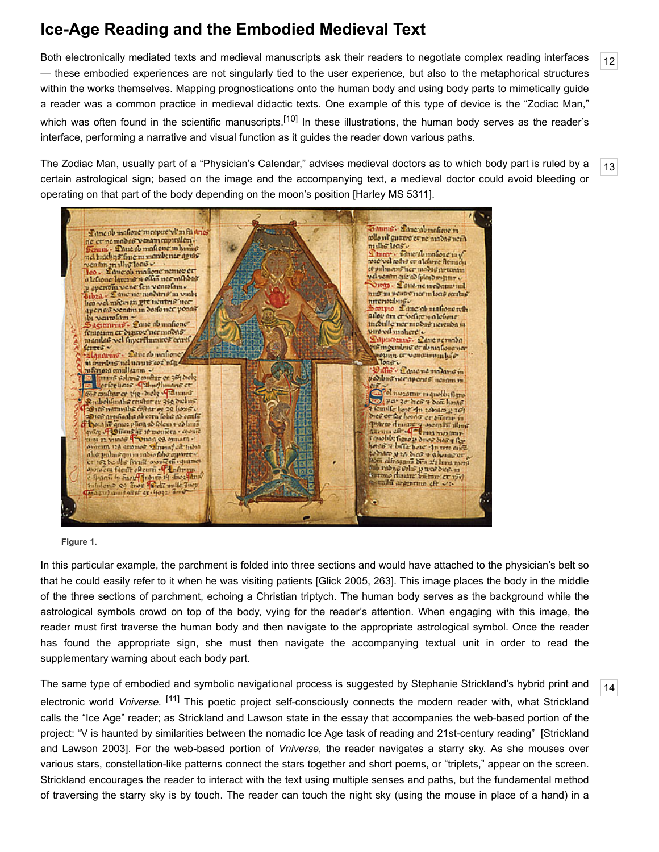# **Ice-Age Reading and the Embodied Medieval Text**

<span id="page-3-0"></span>Both electronically mediated texts and medieval manuscripts ask their readers to negotiate complex reading interfaces — these embodied experiences are not singularly tied to the user experience, but also to the metaphorical structures within the works themselves. Mapping prognostications onto the human body and using body parts to mimetically guide a reader was a common practice in medieval didactic texts. One example of this type of device is the "Zodiac Man," which was often found in the scientific manuscripts.<sup>[10]</sup> In these illustrations, the human body serves as the reader's interface, performing a narrative and visual function as it guides the reader down various paths.

<span id="page-3-1"></span>The Zodiac Man, usually part of a "Physician's Calendar," advises medieval doctors as to which body part is ruled by a certain astrological sign; based on the image and the accompanying text, a medieval doctor could avoid bleeding or operating on that part of the body depending on the moon's position [[Harley MS 5311\]](#page-10-6).



#### **Figure 1.**

In this particular example, the parchment is folded into three sections and would have attached to the physician's belt so that he could easily refer to it when he was visiting patients [\[Glick 2005,](#page-10-7) 263]. This image places the body in the middle of the three sections of parchment, echoing a Christian triptych. The human body serves as the background while the astrological symbols crowd on top of the body, vying for the reader's attention. When engaging with this image, the reader must first traverse the human body and then navigate to the appropriate astrological symbol. Once the reader has found the appropriate sign, she must then navigate the accompanying textual unit in order to read the supplementary warning about each body part.

<span id="page-3-2"></span>The same type of embodied and symbolic navigational process is suggested by Stephanie Strickland's hybrid print and electronic world *[Vniverse](http://www.cddc.vt.edu/journals/newriver/strickland/vniverse/index.html).* [\[11\]](#page-9-11) This poetic project self-consciously connects the modern reader with, what Strickland calls the "Ice Age" reader; as Strickland and Lawson state in the essay that accompanies the web-based portion of the [project: "V is haunted by similarities between the nomadic Ice Age task of reading and 21st-century reading" \[Strickland](#page-11-1) and Lawson 2003]. For the web-based portion of *Vniverse,* the reader navigates a starry sky. As she mouses over various stars, constellation-like patterns connect the stars together and short poems, or "triplets," appear on the screen. Strickland encourages the reader to interact with the text using multiple senses and paths, but the fundamental method of traversing the starry sky is by touch. The reader can touch the night sky (using the mouse in place of a hand) in a

[14](#page-3-2)

[12](#page-3-0)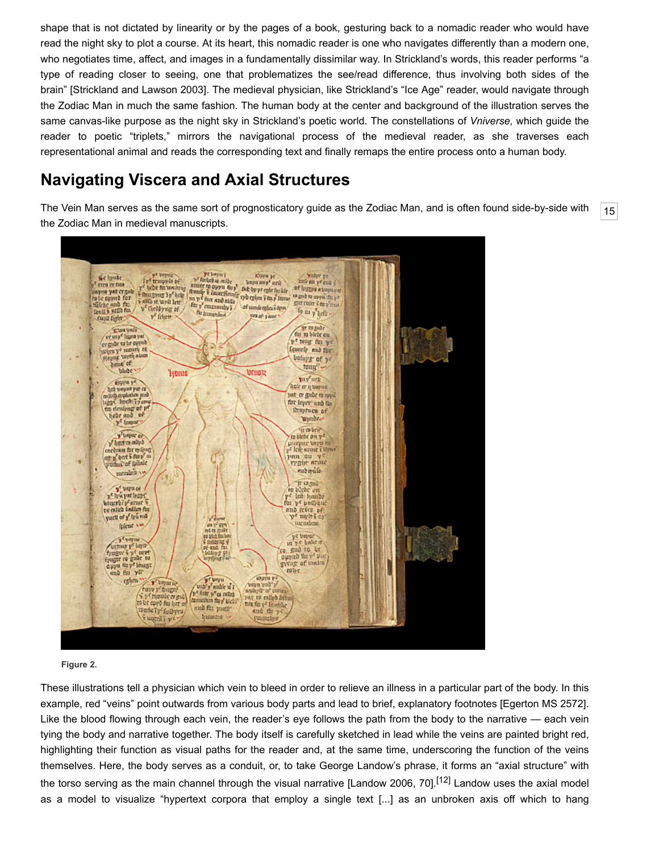shape that is not dictated by linearity or by the pages of a book, gesturing back to a nomadic reader who would have read the night sky to plot a course. At its heart, this nomadic reader is one who navigates differently than a modern one, who negotiates time, affect, and images in a fundamentally dissimilar way. In Strickland's words, this reader performs "a type of reading closer to seeing, one that problematizes the see/read difference, thus involving both sides of the brain" [[Strickland and Lawson 2003](#page-11-1)]. The medieval physician, like Strickland's "Ice Age" reader, would navigate through the Zodiac Man in much the same fashion. The human body at the center and background of the illustration serves the same canvas-like purpose as the night sky in Strickland's poetic world. The constellations of *Vniverse,* which guide the reader to poetic "triplets," mirrors the navigational process of the medieval reader, as she traverses each representational animal and reads the corresponding text and finally remaps the entire process onto a human body.

## **Navigating Viscera and Axial Structures**

<span id="page-4-0"></span>The Vein Man serves as the same sort of prognosticatory guide as the Zodiac Man, and is often found side-by-side with the Zodiac Man in medieval manuscripts.



#### **Figure 2.**

These illustrations tell a physician which vein to bleed in order to relieve an illness in a particular part of the body. In this example, red "veins" point outwards from various body parts and lead to brief, explanatory footnotes [\[Egerton MS 2572](#page-10-8)]. Like the blood flowing through each vein, the reader's eye follows the path from the body to the narrative — each vein tying the body and narrative together. The body itself is carefully sketched in lead while the veins are painted bright red, highlighting their function as visual paths for the reader and, at the same time, underscoring the function of the veins themselves. Here, the body serves as a conduit, or, to take George Landow's phrase, it forms an "axial structure" with the torso serving as the main channel through the visual narrative [[Landow 2006,](#page-10-9) 70].<sup>[12]</sup> Landow uses the axial model as a model to visualize "hypertext corpora that employ a single text [...] as an unbroken axis off which to hang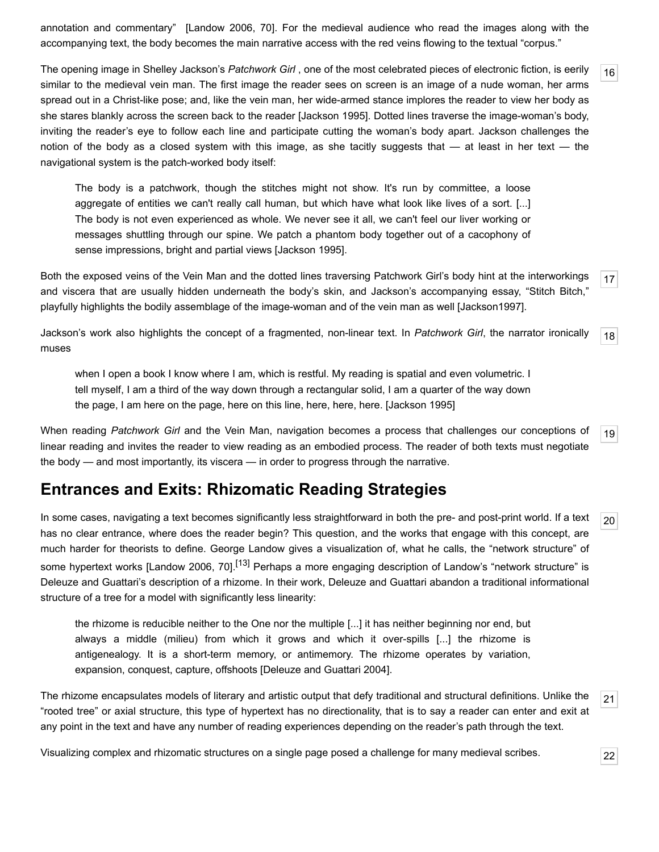annotation and commentary" [\[Landow 2006,](#page-10-9) 70]. For the medieval audience who read the images along with the accompanying text, the body becomes the main narrative access with the red veins flowing to the textual "corpus."

<span id="page-5-0"></span>The opening image in Shelley Jackson's *[Patchwork Girl](http://www.eastgate.com/catalog/PatchworkGirl.html)* , one of the most celebrated pieces of electronic fiction, is eerily similar to the medieval vein man. The first image the reader sees on screen is an image of a nude woman, her arms spread out in a Christ-like pose; and, like the vein man, her wide-armed stance implores the reader to view her body as she stares blankly across the screen back to the reader [[Jackson 1995](#page-10-10)]. Dotted lines traverse the image-woman's body, inviting the reader's eye to follow each line and participate cutting the woman's body apart. Jackson challenges the notion of the body as a closed system with this image, as she tacitly suggests that  $-$  at least in her text  $-$  the navigational system is the patch-worked body itself:

The body is a patchwork, though the stitches might not show. It's run by committee, a loose aggregate of entities we can't really call human, but which have what look like lives of a sort. [...] The body is not even experienced as whole. We never see it all, we can't feel our liver working or messages shuttling through our spine. We patch a phantom body together out of a cacophony of sense impressions, bright and partial views [\[Jackson 1995](#page-10-10)].

<span id="page-5-1"></span>[17](#page-5-1) Both the exposed veins of the Vein Man and the dotted lines traversing Patchwork Girl's body hint at the interworkings and viscera that are usually hidden underneath the body's skin, and Jackson's accompanying essay, "Stitch Bitch," playfully highlights the bodily assemblage of the image-woman and of the vein man as well [[Jackson1997](#page-10-11)].

<span id="page-5-2"></span>[18](#page-5-2) Jackson's work also highlights the concept of a fragmented, non-linear text. In *Patchwork Girl*, the narrator ironically muses

when I open a book I know where I am, which is restful. My reading is spatial and even volumetric. I tell myself, I am a third of the way down through a rectangular solid, I am a quarter of the way down the page, I am here on the page, here on this line, here, here, here. [\[Jackson 1995](#page-10-10)]

<span id="page-5-3"></span>[19](#page-5-3) When reading *Patchwork Girl* and the Vein Man, navigation becomes a process that challenges our conceptions of linear reading and invites the reader to view reading as an embodied process. The reader of both texts must negotiate the body — and most importantly, its viscera — in order to progress through the narrative.

### **Entrances and Exits: Rhizomatic Reading Strategies**

<span id="page-5-4"></span>In some cases, navigating a text becomes significantly less straightforward in both the pre- and post-print world. If a text has no clear entrance, where does the reader begin? This question, and the works that engage with this concept, are much harder for theorists to define. George Landow gives a visualization of, what he calls, the "network structure" of some hypertext works [\[Landow 2006,](#page-10-9) 70].<sup>[\[13\]](#page-9-13)</sup> Perhaps a more engaging description of Landow's "network structure" is Deleuze and Guattari's description of a rhizome. In their work, Deleuze and Guattari abandon a traditional informational structure of a tree for a model with significantly less linearity:

the rhizome is reducible neither to the One nor the multiple [...] it has neither beginning nor end, but always a middle (milieu) from which it grows and which it over-spills [...] the rhizome is antigenealogy. It is a short-term memory, or antimemory. The rhizome operates by variation, expansion, conquest, capture, offshoots [[Deleuze and Guattari 2004](#page-10-0)].

<span id="page-5-5"></span>The rhizome encapsulates models of literary and artistic output that defy traditional and structural definitions. Unlike the "rooted tree" or axial structure, this type of hypertext has no directionality, that is to say a reader can enter and exit at any point in the text and have any number of reading experiences depending on the reader's path through the text.

<span id="page-5-6"></span>Visualizing complex and rhizomatic structures on a single page posed a challenge for many medieval scribes.

[22](#page-5-6)

[21](#page-5-5)

[20](#page-5-4)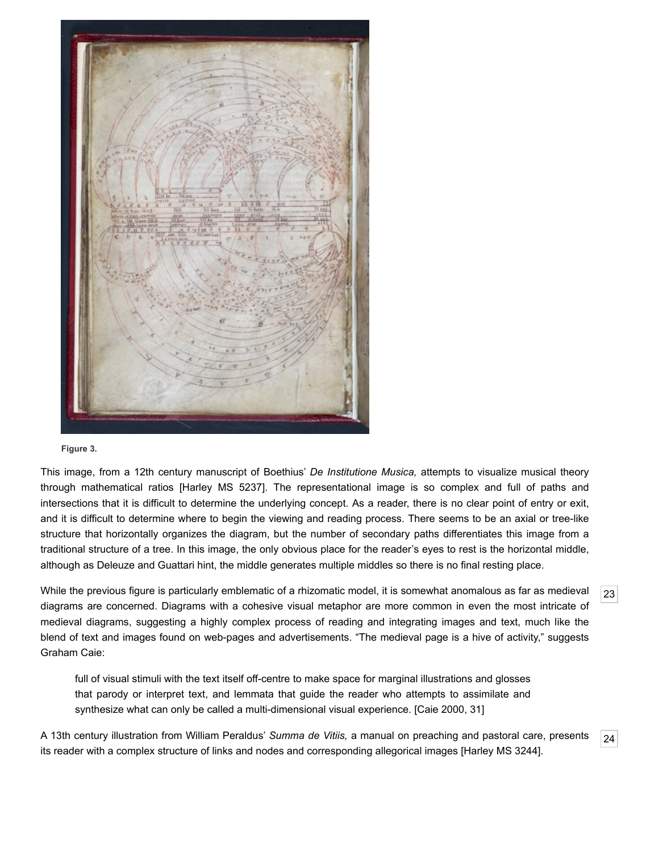

#### **Figure 3.**

This image, from a 12th century manuscript of Boethius' *De Institutione Musica,* attempts to visualize musical theory through mathematical ratios [\[Harley MS 5237\]](#page-10-12). The representational image is so complex and full of paths and intersections that it is difficult to determine the underlying concept. As a reader, there is no clear point of entry or exit, and it is difficult to determine where to begin the viewing and reading process. There seems to be an axial or tree-like structure that horizontally organizes the diagram, but the number of secondary paths differentiates this image from a traditional structure of a tree. In this image, the only obvious place for the reader's eyes to rest is the horizontal middle, although as Deleuze and Guattari hint, the middle generates multiple middles so there is no final resting place.

<span id="page-6-0"></span>While the previous figure is particularly emblematic of a rhizomatic model, it is somewhat anomalous as far as medieval diagrams are concerned. Diagrams with a cohesive visual metaphor are more common in even the most intricate of medieval diagrams, suggesting a highly complex process of reading and integrating images and text, much like the blend of text and images found on web-pages and advertisements. "The medieval page is a hive of activity," suggests Graham Caie:

full of visual stimuli with the text itself off-centre to make space for marginal illustrations and glosses that parody or interpret text, and lemmata that guide the reader who attempts to assimilate and synthesize what can only be called a multi-dimensional visual experience. [[Caie 2000,](#page-9-14) 31]

<span id="page-6-1"></span>A 13th century illustration from William Peraldus' *Summa de Vitiis,* a manual on preaching and pastoral care, presents its reader with a complex structure of links and nodes and corresponding allegorical images [\[Harley MS 3244\]](#page-10-13).

[23](#page-6-0)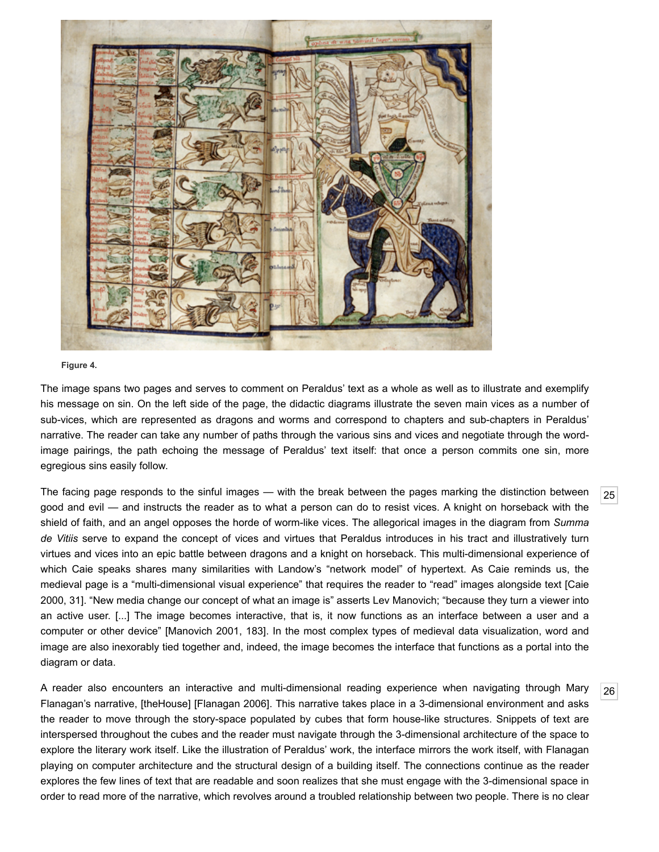

#### **Figure 4.**

The image spans two pages and serves to comment on Peraldus' text as a whole as well as to illustrate and exemplify his message on sin. On the left side of the page, the didactic diagrams illustrate the seven main vices as a number of sub-vices, which are represented as dragons and worms and correspond to chapters and sub-chapters in Peraldus' narrative. The reader can take any number of paths through the various sins and vices and negotiate through the wordimage pairings, the path echoing the message of Peraldus' text itself: that once a person commits one sin, more egregious sins easily follow.

<span id="page-7-0"></span>The facing page responds to the sinful images — with the break between the pages marking the distinction between good and evil — and instructs the reader as to what a person can do to resist vices. A knight on horseback with the shield of faith, and an angel opposes the horde of worm-like vices. The allegorical images in the diagram from *Summa de Vitiis* serve to expand the concept of vices and virtues that Peraldus introduces in his tract and illustratively turn virtues and vices into an epic battle between dragons and a knight on horseback. This multi-dimensional experience of which Caie speaks shares many similarities with Landow's "network model" of hypertext. As Caie reminds us, the [medieval page is a "multi-dimensional visual experience" that requires the reader to "read" images alongside text \[Caie](#page-9-14) 2000, 31]. "New media change our concept of what an image is" asserts Lev Manovich; "because they turn a viewer into an active user. [...] The image becomes interactive, that is, it now functions as an interface between a user and a computer or other device" [\[Manovich 2001](#page-10-14), 183]. In the most complex types of medieval data visualization, word and image are also inexorably tied together and, indeed, the image becomes the interface that functions as a portal into the diagram or data.

<span id="page-7-1"></span>A reader also encounters an interactive and multi-dimensional reading experience when navigating through Mary Flanagan's narrative, [\[theHouse\]](http://collection.eliterature.org/1/works/flanagan__thehouse.html) [\[Flanagan 2006\]](#page-10-15). This narrative takes place in a 3-dimensional environment and asks the reader to move through the story-space populated by cubes that form house-like structures. Snippets of text are interspersed throughout the cubes and the reader must navigate through the 3-dimensional architecture of the space to explore the literary work itself. Like the illustration of Peraldus' work, the interface mirrors the work itself, with Flanagan playing on computer architecture and the structural design of a building itself. The connections continue as the reader explores the few lines of text that are readable and soon realizes that she must engage with the 3-dimensional space in order to read more of the narrative, which revolves around a troubled relationship between two people. There is no clear

[25](#page-7-0)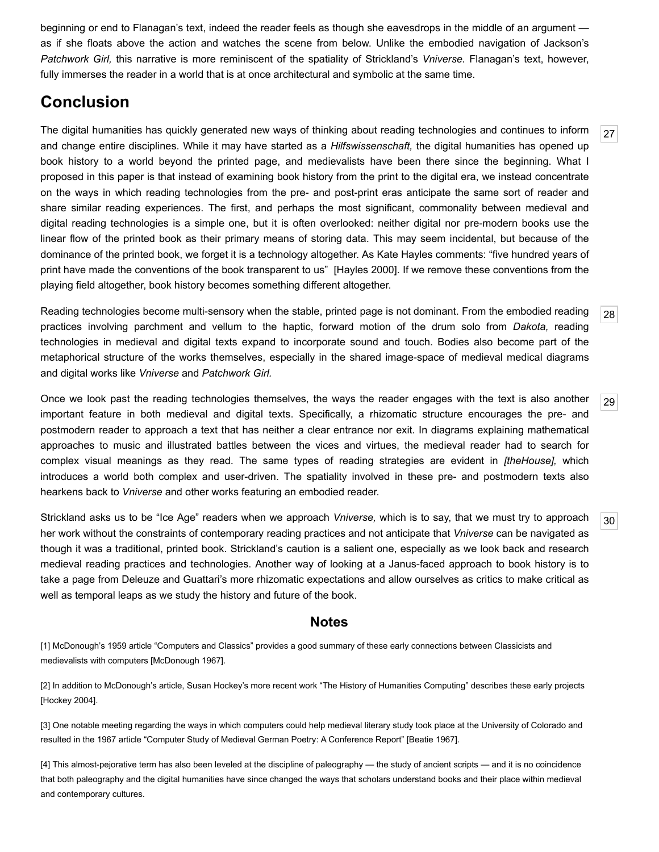beginning or end to Flanagan's text, indeed the reader feels as though she eavesdrops in the middle of an argument as if she floats above the action and watches the scene from below. Unlike the embodied navigation of Jackson's *Patchwork Girl,* this narrative is more reminiscent of the spatiality of Strickland's *Vniverse.* Flanagan's text, however, fully immerses the reader in a world that is at once architectural and symbolic at the same time.

## **Conclusion**

<span id="page-8-4"></span>The digital humanities has quickly generated new ways of thinking about reading technologies and continues to inform and change entire disciplines. While it may have started as a *Hilfswissenschaft,* the digital humanities has opened up book history to a world beyond the printed page, and medievalists have been there since the beginning. What I proposed in this paper is that instead of examining book history from the print to the digital era, we instead concentrate on the ways in which reading technologies from the pre- and post-print eras anticipate the same sort of reader and share similar reading experiences. The first, and perhaps the most significant, commonality between medieval and digital reading technologies is a simple one, but it is often overlooked: neither digital nor pre-modern books use the linear flow of the printed book as their primary means of storing data. This may seem incidental, but because of the dominance of the printed book, we forget it is a technology altogether. As Kate Hayles comments: "five hundred years of print have made the conventions of the book transparent to us" [[Hayles 2000](#page-10-16)]. If we remove these conventions from the playing field altogether, book history becomes something different altogether.

<span id="page-8-5"></span>Reading technologies become multi-sensory when the stable, printed page is not dominant. From the embodied reading practices involving parchment and vellum to the haptic, forward motion of the drum solo from *Dakota,* reading technologies in medieval and digital texts expand to incorporate sound and touch. Bodies also become part of the metaphorical structure of the works themselves, especially in the shared image-space of medieval medical diagrams and digital works like *Vniverse* and *Patchwork Girl.*

<span id="page-8-6"></span>Once we look past the reading technologies themselves, the ways the reader engages with the text is also another important feature in both medieval and digital texts. Specifically, a rhizomatic structure encourages the pre- and postmodern reader to approach a text that has neither a clear entrance nor exit. In diagrams explaining mathematical approaches to music and illustrated battles between the vices and virtues, the medieval reader had to search for complex visual meanings as they read. The same types of reading strategies are evident in *[theHouse],* which introduces a world both complex and user-driven. The spatiality involved in these pre- and postmodern texts also hearkens back to *Vniverse* and other works featuring an embodied reader.

<span id="page-8-7"></span>Strickland asks us to be "Ice Age" readers when we approach *Vniverse,* which is to say, that we must try to approach her work without the constraints of contemporary reading practices and not anticipate that *Vniverse* can be navigated as though it was a traditional, printed book. Strickland's caution is a salient one, especially as we look back and research medieval reading practices and technologies. Another way of looking at a Janus-faced approach to book history is to take a page from Deleuze and Guattari's more rhizomatic expectations and allow ourselves as critics to make critical as well as temporal leaps as we study the history and future of the book.

### **Notes**

<span id="page-8-0"></span>[1] McDonough's 1959 article "Computers and Classics" provides a good summary of these early connections between Classicists and medievalists with computers [\[McDonough 1967](#page-10-1)].

<span id="page-8-1"></span>[2] In addition to McDonough's article, Susan Hockey's more recent work "The History of Humanities Computing" describes these early projects [[Hockey 2004\]](#page-10-17).

<span id="page-8-2"></span>[3] One notable meeting regarding the ways in which computers could help medieval literary study took place at the University of Colorado and resulted in the 1967 article "Computer Study of Medieval German Poetry: A Conference Report" [\[Beatie 1967\]](#page-9-15).

<span id="page-8-3"></span>[4] This almost-pejorative term has also been leveled at the discipline of paleography — the study of ancient scripts — and it is no coincidence that both paleography and the digital humanities have since changed the ways that scholars understand books and their place within medieval and contemporary cultures.

[27](#page-8-4)

[30](#page-8-7)

[29](#page-8-6)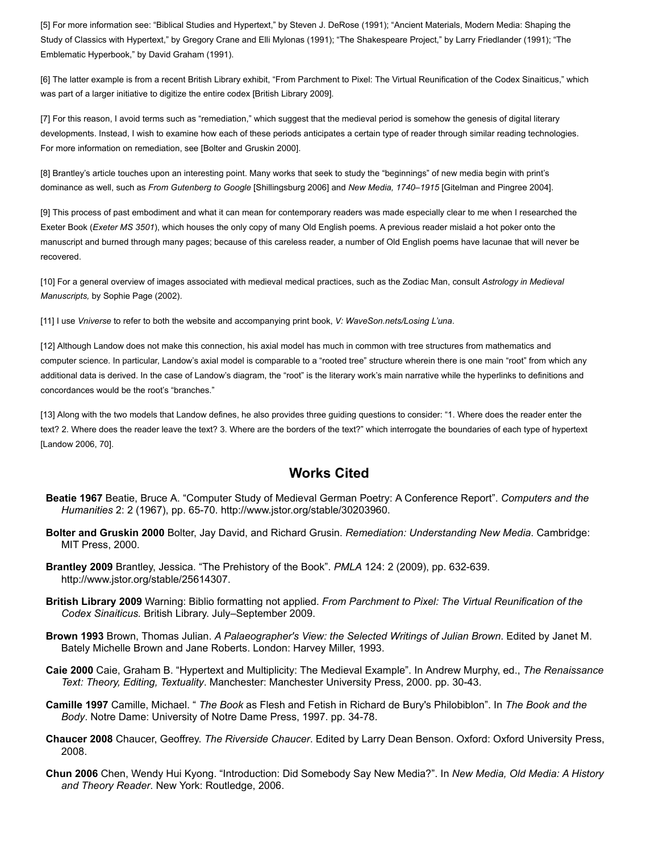<span id="page-9-2"></span>[5] For more information see: "Biblical Studies and Hypertext," by Steven J. DeRose (1991); "Ancient Materials, Modern Media: Shaping the Study of Classics with Hypertext," by Gregory Crane and Elli Mylonas (1991); "The Shakespeare Project," by Larry Friedlander (1991); "The Emblematic Hyperbook," by David Graham (1991).

<span id="page-9-3"></span>[6] The latter example is from a recent British Library exhibit, "From Parchment to Pixel: The Virtual Reunification of the Codex Sinaiticus," which was part of a larger initiative to digitize the entire codex [[British Library 2009\]](#page-9-16).

<span id="page-9-5"></span>[7] For this reason, I avoid terms such as "remediation," which suggest that the medieval period is somehow the genesis of digital literary developments. Instead, I wish to examine how each of these periods anticipates a certain type of reader through similar reading technologies. For more information on remediation, see [[Bolter and Gruskin 2000](#page-9-17)].

<span id="page-9-6"></span>[8] Brantley's article touches upon an interesting point. Many works that seek to study the "beginnings" of new media begin with print's dominance as well, such as *From Gutenberg to Google* [[Shillingsburg 2006\]](#page-11-0) and *New Media, 1740–1915* [[Gitelman and Pingree 2004](#page-10-18)].

<span id="page-9-9"></span>[9] This process of past embodiment and what it can mean for contemporary readers was made especially clear to me when I researched the Exeter Book (*Exeter MS 3501*), which houses the only copy of many Old English poems. A previous reader mislaid a hot poker onto the manuscript and burned through many pages; because of this careless reader, a number of Old English poems have lacunae that will never be recovered.

<span id="page-9-10"></span>[10] For a general overview of images associated with medieval medical practices, such as the Zodiac Man, consult *Astrology in Medieval Manuscripts,* by Sophie Page (2002).

<span id="page-9-11"></span>[11] I use *Vniverse* to refer to both the website and accompanying print book, *V: WaveSon.nets/Losing L'una*.

<span id="page-9-12"></span>[12] Although Landow does not make this connection, his axial model has much in common with tree structures from mathematics and computer science. In particular, Landow's axial model is comparable to a "rooted tree" structure wherein there is one main "root" from which any additional data is derived. In the case of Landow's diagram, the "root" is the literary work's main narrative while the hyperlinks to definitions and concordances would be the root's "branches."

<span id="page-9-13"></span>[13] Along with the two models that Landow defines, he also provides three guiding questions to consider: "1. Where does the reader enter the text? 2. Where does the reader leave the text? 3. Where are the borders of the text?" which interrogate the boundaries of each type of hypertext [[Landow 2006,](#page-10-9) 70].

### **Works Cited**

- <span id="page-9-15"></span>**Beatie 1967** Beatie, Bruce A. "Computer Study of Medieval German Poetry: A Conference Report". *Computers and the Humanities* 2: 2 (1967), pp. 65-70.<http://www.jstor.org/stable/30203960>.
- <span id="page-9-17"></span>**Bolter and Gruskin 2000** Bolter, Jay David, and Richard Grusin. *Remediation: Understanding New Media*. Cambridge: MIT Press, 2000.
- <span id="page-9-4"></span>**Brantley 2009** Brantley, Jessica. "The Prehistory of the Book". *PMLA* 124: 2 (2009), pp. 632-639. [http://www.jstor.org/stable/25614307.](http://www.jstor.org/stable/25614307)
- <span id="page-9-16"></span>**British Library 2009** Warning: Biblio formatting not applied. *From Parchment to Pixel: The Virtual Reunification of the Codex Sinaiticus.* British Library. July–September 2009.
- <span id="page-9-1"></span>**Brown 1993** Brown, Thomas Julian. *A Palaeographer's View: the Selected Writings of Julian Brown*. Edited by Janet M. Bately Michelle Brown and Jane Roberts. London: Harvey Miller, 1993.
- <span id="page-9-14"></span>**Caie 2000** Caie, Graham B. "Hypertext and Multiplicity: The Medieval Example". In Andrew Murphy, ed., *The Renaissance Text: Theory, Editing, Textuality*. Manchester: Manchester University Press, 2000. pp. 30-43.
- <span id="page-9-8"></span>**Camille 1997** Camille, Michael. " *The Book* as Flesh and Fetish in Richard de Bury's Philobiblon". In *The Book and the Body*. Notre Dame: University of Notre Dame Press, 1997. pp. 34-78.
- <span id="page-9-0"></span>**Chaucer 2008** Chaucer, Geoffrey. *The Riverside Chaucer*. Edited by Larry Dean Benson. Oxford: Oxford University Press, 2008.
- <span id="page-9-7"></span>**Chun 2006** Chen, Wendy Hui Kyong. "Introduction: Did Somebody Say New Media?". In *New Media, Old Media: A History and Theory Reader*. New York: Routledge, 2006.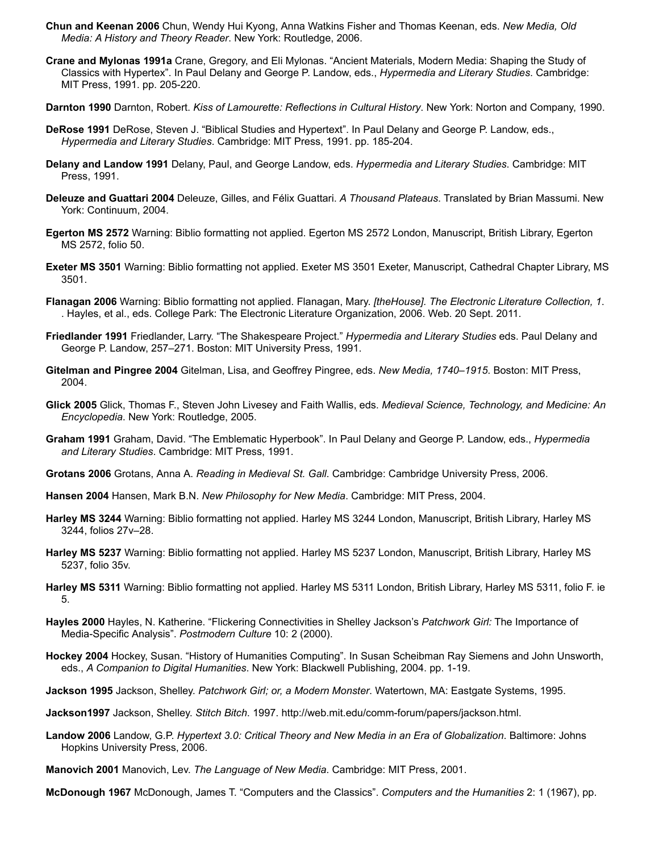- **Chun and Keenan 2006** Chun, Wendy Hui Kyong, Anna Watkins Fisher and Thomas Keenan, eds. *New Media, Old Media: A History and Theory Reader*. New York: Routledge, 2006.
- **Crane and Mylonas 1991a** Crane, Gregory, and Eli Mylonas. "Ancient Materials, Modern Media: Shaping the Study of Classics with Hypertex". In Paul Delany and George P. Landow, eds., *Hypermedia and Literary Studies*. Cambridge: MIT Press, 1991. pp. 205-220.
- <span id="page-10-3"></span>**Darnton 1990** Darnton, Robert. *Kiss of Lamourette: Reflections in Cultural History*. New York: Norton and Company, 1990.
- **DeRose 1991** DeRose, Steven J. "Biblical Studies and Hypertext". In Paul Delany and George P. Landow, eds., *Hypermedia and Literary Studies*. Cambridge: MIT Press, 1991. pp. 185-204.
- <span id="page-10-2"></span>**Delany and Landow 1991** Delany, Paul, and George Landow, eds. *Hypermedia and Literary Studies*. Cambridge: MIT Press, 1991.
- <span id="page-10-0"></span>**Deleuze and Guattari 2004** Deleuze, Gilles, and Félix Guattari. *A Thousand Plateaus*. Translated by Brian Massumi. New York: Continuum, 2004.
- <span id="page-10-8"></span>**Egerton MS 2572** Warning: Biblio formatting not applied. Egerton MS 2572 London, Manuscript, British Library, Egerton MS 2572, folio 50.
- **Exeter MS 3501** Warning: Biblio formatting not applied. Exeter MS 3501 Exeter, Manuscript, Cathedral Chapter Library, MS 3501.
- <span id="page-10-15"></span>**Flanagan 2006** Warning: Biblio formatting not applied. Flanagan, Mary. *[theHouse]. The Electronic Literature Collection, 1*. . Hayles, et al., eds. College Park: The Electronic Literature Organization, 2006. Web. 20 Sept. 2011.
- **Friedlander 1991** Friedlander, Larry. "The Shakespeare Project." *Hypermedia and Literary Studies* eds. Paul Delany and George P. Landow, 257–271. Boston: MIT University Press, 1991.
- <span id="page-10-18"></span>**Gitelman and Pingree 2004** Gitelman, Lisa, and Geoffrey Pingree, eds. *New Media, 1740–1915*. Boston: MIT Press, 2004.
- <span id="page-10-7"></span>**Glick 2005** Glick, Thomas F., Steven John Livesey and Faith Wallis, eds. *Medieval Science, Technology, and Medicine: An Encyclopedia*. New York: Routledge, 2005.
- **Graham 1991** Graham, David. "The Emblematic Hyperbook". In Paul Delany and George P. Landow, eds., *Hypermedia and Literary Studies*. Cambridge: MIT Press, 1991.
- <span id="page-10-5"></span>**Grotans 2006** Grotans, Anna A. *Reading in Medieval St. Gall*. Cambridge: Cambridge University Press, 2006.
- <span id="page-10-4"></span>**Hansen 2004** Hansen, Mark B.N. *New Philosophy for New Media*. Cambridge: MIT Press, 2004.
- <span id="page-10-13"></span>**Harley MS 3244** Warning: Biblio formatting not applied. Harley MS 3244 London, Manuscript, British Library, Harley MS 3244, folios 27v–28.
- <span id="page-10-12"></span>**Harley MS 5237** Warning: Biblio formatting not applied. Harley MS 5237 London, Manuscript, British Library, Harley MS 5237, folio 35v.
- <span id="page-10-6"></span>**Harley MS 5311** Warning: Biblio formatting not applied. Harley MS 5311 London, British Library, Harley MS 5311, folio F. ie 5.
- <span id="page-10-16"></span>**Hayles 2000** Hayles, N. Katherine. "Flickering Connectivities in Shelley Jackson's *Patchwork Girl:* The Importance of Media-Specific Analysis". *Postmodern Culture* 10: 2 (2000).
- <span id="page-10-17"></span>**Hockey 2004** Hockey, Susan. "History of Humanities Computing". In Susan Scheibman Ray Siemens and John Unsworth, eds., *A Companion to Digital Humanities*. New York: Blackwell Publishing, 2004. pp. 1-19.
- <span id="page-10-10"></span>**Jackson 1995** Jackson, Shelley. *Patchwork Girl; or, a Modern Monster*. Watertown, MA: Eastgate Systems, 1995.
- <span id="page-10-11"></span>**Jackson1997** Jackson, Shelley. *Stitch Bitch*. 1997. <http://web.mit.edu/comm-forum/papers/jackson.html>.
- <span id="page-10-9"></span>**Landow 2006** Landow, G.P. *Hypertext 3.0: Critical Theory and New Media in an Era of Globalization*. Baltimore: Johns Hopkins University Press, 2006.
- <span id="page-10-14"></span>**Manovich 2001** Manovich, Lev. *The Language of New Media*. Cambridge: MIT Press, 2001.

<span id="page-10-1"></span>**McDonough 1967** McDonough, James T. "Computers and the Classics". *Computers and the Humanities* 2: 1 (1967), pp.